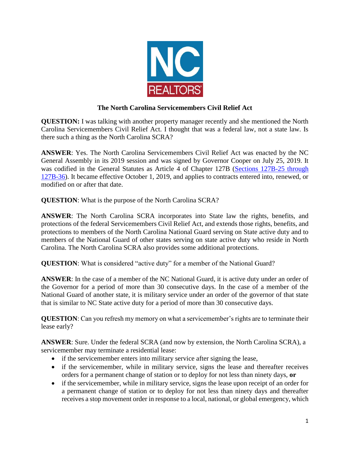

## **The North Carolina Servicemembers Civil Relief Act**

**QUESTION:** I was talking with another property manager recently and she mentioned the North Carolina Servicemembers Civil Relief Act. I thought that was a federal law, not a state law. Is there such a thing as the North Carolina SCRA?

**ANSWER**: Yes. The North Carolina Servicemembers Civil Relief Act was enacted by the NC General Assembly in its 2019 session and was signed by Governor Cooper on July 25, 2019. It was codified in the General Statutes as Article 4 of Chapter 127B [\(Sections 127B-25 through](https://www.ncleg.gov/EnactedLegislation/Statutes/PDF/ByArticle/Chapter_127B/Article_4.pdf)  [127B-36\)](https://www.ncleg.gov/EnactedLegislation/Statutes/PDF/ByArticle/Chapter_127B/Article_4.pdf). It became effective October 1, 2019, and applies to contracts entered into, renewed, or modified on or after that date.

**QUESTION**: What is the purpose of the North Carolina SCRA?

**ANSWER**: The North Carolina SCRA incorporates into State law the rights, benefits, and protections of the federal Servicemembers Civil Relief Act, and extends those rights, benefits, and protections to members of the North Carolina National Guard serving on State active duty and to members of the National Guard of other states serving on state active duty who reside in North Carolina. The North Carolina SCRA also provides some additional protections.

**QUESTION**: What is considered "active duty" for a member of the National Guard?

**ANSWER**: In the case of a member of the NC National Guard, it is active duty under an order of the Governor for a period of more than 30 consecutive days. In the case of a member of the National Guard of another state, it is military service under an order of the governor of that state that is similar to NC State active duty for a period of more than 30 consecutive days.

**QUESTION**: Can you refresh my memory on what a servicemember's rights are to terminate their lease early?

**ANSWER**: Sure. Under the federal SCRA (and now by extension, the North Carolina SCRA), a servicemember may terminate a residential lease:

- if the servicemember enters into military service after signing the lease,
- if the servicemember, while in military service, signs the lease and thereafter receives orders for a permanent change of station or to deploy for not less than ninety days, **or**
- if the servicemember, while in military service, signs the lease upon receipt of an order for a permanent change of station or to deploy for not less than ninety days and thereafter receives a stop movement order in response to a local, national, or global emergency, which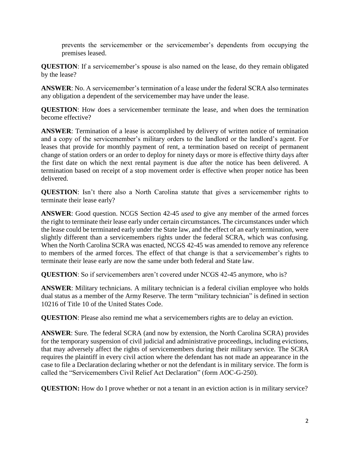prevents the servicemember or the servicemember's dependents from occupying the premises leased.

**QUESTION**: If a servicemember's spouse is also named on the lease, do they remain obligated by the lease?

**ANSWER**: No. A servicemember's termination of a lease under the federal SCRA also terminates any obligation a dependent of the servicemember may have under the lease.

**QUESTION**: How does a servicemember terminate the lease, and when does the termination become effective?

**ANSWER**: Termination of a lease is accomplished by delivery of written notice of termination and a copy of the servicemember's military orders to the landlord or the landlord's agent. For leases that provide for monthly payment of rent, a termination based on receipt of permanent change of station orders or an order to deploy for ninety days or more is effective thirty days after the first date on which the next rental payment is due after the notice has been delivered. A termination based on receipt of a stop movement order is effective when proper notice has been delivered.

**QUESTION**: Isn't there also a North Carolina statute that gives a servicemember rights to terminate their lease early?

**ANSWER**: Good question. NCGS Section 42-45 *used* to give any member of the armed forces the right to terminate their lease early under certain circumstances. The circumstances under which the lease could be terminated early under the State law, and the effect of an early termination, were slightly different than a servicemembers rights under the federal SCRA, which was confusing. When the North Carolina SCRA was enacted, NCGS 42-45 was amended to remove any reference to members of the armed forces. The effect of that change is that a servicemember's rights to terminate their lease early are now the same under both federal and State law.

**QUESTION**: So if servicemembers aren't covered under NCGS 42-45 anymore, who is?

**ANSWER**: Military technicians. A military technician is a federal civilian employee who holds dual status as a member of the Army Reserve. The term "military technician" is defined in section 10216 of Title 10 of the United States Code.

**QUESTION**: Please also remind me what a servicemembers rights are to delay an eviction.

**ANSWER**: Sure. The federal SCRA (and now by extension, the North Carolina SCRA) provides for the temporary suspension of civil judicial and administrative proceedings, including evictions, that may adversely affect the rights of servicemembers during their military service. The SCRA requires the plaintiff in every civil action where the defendant has not made an appearance in the case to file a Declaration declaring whether or not the defendant is in military service. The form is called the "Servicemembers Civil Relief Act Declaration" (form AOC-G-250).

**QUESTION:** How do I prove whether or not a tenant in an eviction action is in military service?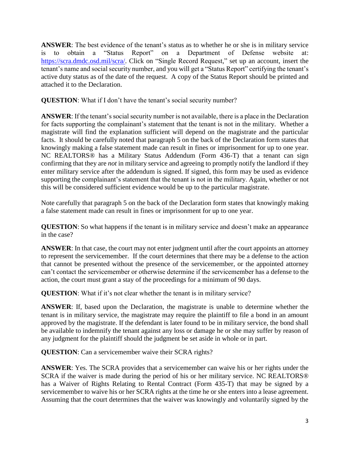**ANSWER**: The best evidence of the tenant's status as to whether he or she is in military service is to obtain a "Status Report" on a Department of Defense website at: [https://scra.dmdc.osd.mil/scra/.](https://scra.dmdc.osd.mil/scra/) Click on "Single Record Request," set up an account, insert the tenant's name and social security number, and you will get a "Status Report" certifying the tenant's active duty status as of the date of the request. A copy of the Status Report should be printed and attached it to the Declaration.

**QUESTION**: What if I don't have the tenant's social security number?

**ANSWER**: If the tenant's social security number is not available, there is a place in the Declaration for facts supporting the complainant's statement that the tenant is not in the military. Whether a magistrate will find the explanation sufficient will depend on the magistrate and the particular facts. It should be carefully noted that paragraph 5 on the back of the Declaration form states that knowingly making a false statement made can result in fines or imprisonment for up to one year. NC REALTORS® has a Military Status Addendum (Form 436-T) that a tenant can sign confirming that they are *not* in military service and agreeing to promptly notify the landlord if they enter military service after the addendum is signed. If signed, this form may be used as evidence supporting the complainant's statement that the tenant is not in the military. Again, whether or not this will be considered sufficient evidence would be up to the particular magistrate.

Note carefully that paragraph 5 on the back of the Declaration form states that knowingly making a false statement made can result in fines or imprisonment for up to one year.

**QUESTION**: So what happens if the tenant is in military service and doesn't make an appearance in the case?

**ANSWER**: In that case, the court may not enter judgment until after the court appoints an attorney to represent the servicemember. If the court determines that there may be a defense to the action that cannot be presented without the presence of the servicemember, or the appointed attorney can't contact the servicemember or otherwise determine if the servicemember has a defense to the action, the court must grant a stay of the proceedings for a minimum of 90 days.

**QUESTION**: What if it's not clear whether the tenant is in military service?

**ANSWER**: If, based upon the Declaration, the magistrate is unable to determine whether the tenant is in military service, the magistrate may require the plaintiff to file a bond in an amount approved by the magistrate. If the defendant is later found to be in military service, the bond shall be available to indemnify the tenant against any loss or damage he or she may suffer by reason of any judgment for the plaintiff should the judgment be set aside in whole or in part.

**QUESTION**: Can a servicemember waive their SCRA rights?

**ANSWER**: Yes. The SCRA provides that a servicemember can waive his or her rights under the SCRA if the waiver is made during the period of his or her military service. NC REALTORS® has a Waiver of Rights Relating to Rental Contract (Form 435-T) that may be signed by a servicemember to waive his or her SCRA rights at the time he or she enters into a lease agreement. Assuming that the court determines that the waiver was knowingly and voluntarily signed by the